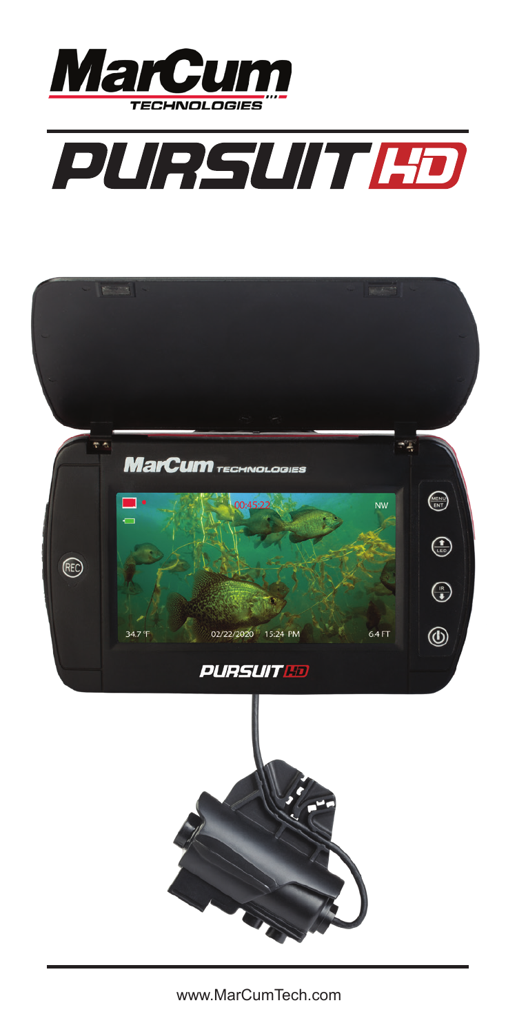

# **PURSUIT HD**



www.MarCumTech.com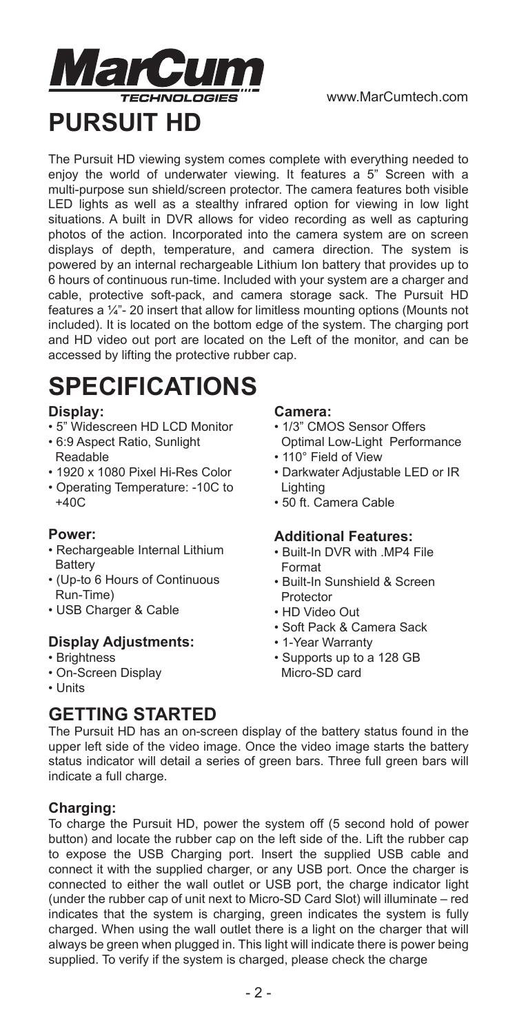

The Pursuit HD viewing system comes complete with everything needed to enjoy the world of underwater viewing. It features a 5" Screen with a multi-purpose sun shield/screen protector. The camera features both visible LED lights as well as a stealthy infrared option for viewing in low light situations. A built in DVR allows for video recording as well as capturing photos of the action. Incorporated into the camera system are on screen displays of depth, temperature, and camera direction. The system is powered by an internal rechargeable Lithium Ion battery that provides up to 6 hours of continuous run-time. Included with your system are a charger and cable, protective soft-pack, and camera storage sack. The Pursuit HD features a ¼"- 20 insert that allow for limitless mounting options (Mounts not included). It is located on the bottom edge of the system. The charging port and HD video out port are located on the Left of the monitor, and can be accessed by lifting the protective rubber cap.

# **SPECIFICATIONS**

#### **Display:**

- 5" Widescreen HD LCD Monitor
- 6:9 Aspect Ratio, Sunlight Readable
- 1920 x 1080 Pixel Hi-Res Color
- Operating Temperature: -10C to +40C

#### **Power:**

- Rechargeable Internal Lithium **Battery**
- (Up-to 6 Hours of Continuous Run-Time)
- USB Charger & Cable

#### **Display Adjustments:**

- Brightness
- On-Screen Display
- Units

# **GETTING STARTED**

#### **Camera:**

- 1/3" CMOS Sensor Offers Optimal Low-Light Performance
- 110° Field of View
- Darkwater Adjustable LED or IR Lighting
- 50 ft. Camera Cable

#### **Additional Features:**

- Built-In DVR with .MP4 File Format
- Built-In Sunshield & Screen Protector
- HD Video Out
- Soft Pack & Camera Sack
- 1-Year Warranty
- Supports up to a 128 GB Micro-SD card

The Pursuit HD has an on-screen display of the battery status found in the upper left side of the video image. Once the video image starts the battery status indicator will detail a series of green bars. Three full green bars will indicate a full charge.

#### **Charging:**

To charge the Pursuit HD, power the system off (5 second hold of power button) and locate the rubber cap on the left side of the. Lift the rubber cap to expose the USB Charging port. Insert the supplied USB cable and connect it with the supplied charger, or any USB port. Once the charger is connected to either the wall outlet or USB port, the charge indicator light (under the rubber cap of unit next to Micro-SD Card Slot) will illuminate – red indicates that the system is charging, green indicates the system is fully charged. When using the wall outlet there is a light on the charger that will always be green when plugged in. This light will indicate there is power being supplied. To verify if the system is charged, please check the charge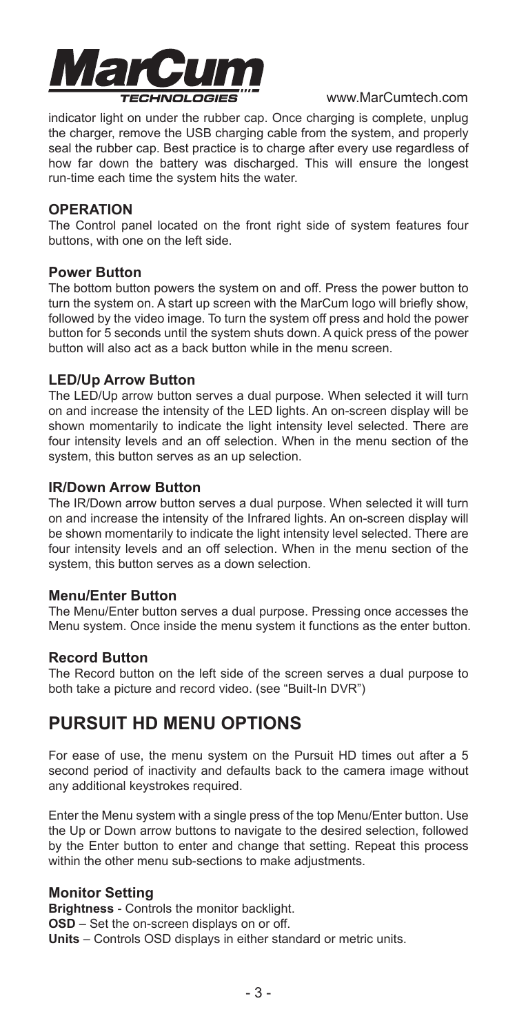

indicator light on under the rubber cap. Once charging is complete, unplug the charger, remove the USB charging cable from the system, and properly seal the rubber cap. Best practice is to charge after every use regardless of how far down the battery was discharged. This will ensure the longest run-time each time the system hits the water.

#### **OPERATION**

The Control panel located on the front right side of system features four buttons, with one on the left side.

#### **Power Button**

The bottom button powers the system on and off. Press the power button to turn the system on. A start up screen with the MarCum logo will briefly show, followed by the video image. To turn the system off press and hold the power button for 5 seconds until the system shuts down. A quick press of the power button will also act as a back button while in the menu screen.

#### **LED/Up Arrow Button**

The LED/Up arrow button serves a dual purpose. When selected it will turn on and increase the intensity of the LED lights. An on-screen display will be shown momentarily to indicate the light intensity level selected. There are four intensity levels and an off selection. When in the menu section of the system, this button serves as an up selection.

#### **IR/Down Arrow Button**

The IR/Down arrow button serves a dual purpose. When selected it will turn on and increase the intensity of the Infrared lights. An on-screen display will be shown momentarily to indicate the light intensity level selected. There are four intensity levels and an off selection. When in the menu section of the system, this button serves as a down selection.

#### **Menu/Enter Button**

The Menu/Enter button serves a dual purpose. Pressing once accesses the Menu system. Once inside the menu system it functions as the enter button.

#### **Record Button**

The Record button on the left side of the screen serves a dual purpose to both take a picture and record video. (see "Built-In DVR")

# **PURSUIT HD MENU OPTIONS**

For ease of use, the menu system on the Pursuit HD times out after a 5 second period of inactivity and defaults back to the camera image without any additional keystrokes required.

Enter the Menu system with a single press of the top Menu/Enter button. Use the Up or Down arrow buttons to navigate to the desired selection, followed by the Enter button to enter and change that setting. Repeat this process within the other menu sub-sections to make adjustments.

#### **Monitor Setting**

**Brightness** - Controls the monitor backlight. **OSD** – Set the on-screen displays on or off. **Units** – Controls OSD displays in either standard or metric units.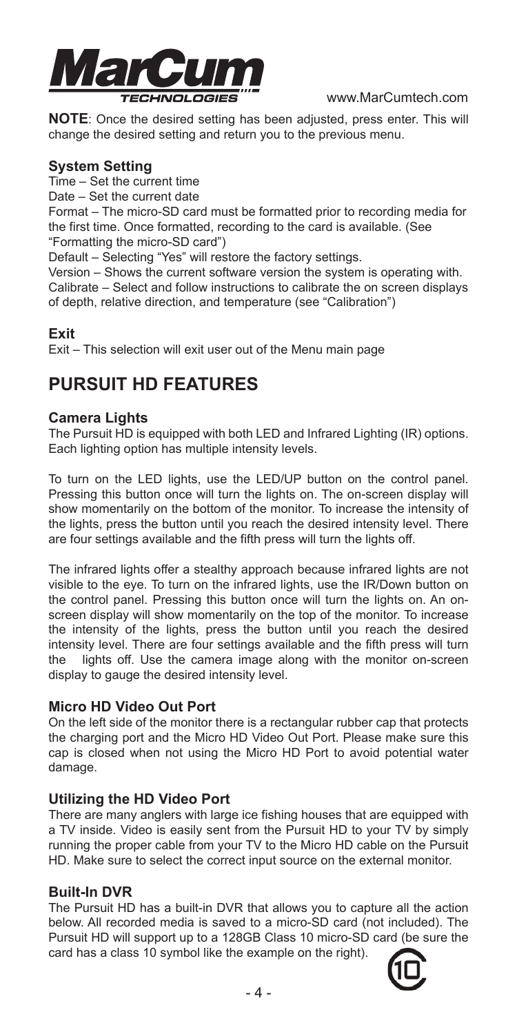

**NOTE**: Once the desired setting has been adjusted, press enter. This will change the desired setting and return you to the previous menu.

#### **System Setting**

Time – Set the current time

Date – Set the current date

Format – The micro-SD card must be formatted prior to recording media for the first time. Once formatted, recording to the card is available. (See "Formatting the micro-SD card")

Default – Selecting "Yes" will restore the factory settings.

Version – Shows the current software version the system is operating with. Calibrate – Select and follow instructions to calibrate the on screen displays of depth, relative direction, and temperature (see "Calibration")

#### **Exit**

Exit – This selection will exit user out of the Menu main page

# **PURSUIT HD FEATURES**

#### **Camera Lights**

The Pursuit HD is equipped with both LED and Infrared Lighting (IR) options. Each lighting option has multiple intensity levels.

To turn on the LED lights, use the LED/UP button on the control panel. Pressing this button once will turn the lights on. The on-screen display will show momentarily on the bottom of the monitor. To increase the intensity of the lights, press the button until you reach the desired intensity level. There are four settings available and the fifth press will turn the lights off.

The infrared lights offer a stealthy approach because infrared lights are not visible to the eye. To turn on the infrared lights, use the IR/Down button on the control panel. Pressing this button once will turn the lights on. An onscreen display will show momentarily on the top of the monitor. To increase the intensity of the lights, press the button until you reach the desired intensity level. There are four settings available and the fifth press will turn the lights off. Use the camera image along with the monitor on-screen display to gauge the desired intensity level.

#### **Micro HD Video Out Port**

On the left side of the monitor there is a rectangular rubber cap that protects the charging port and the Micro HD Video Out Port. Please make sure this cap is closed when not using the Micro HD Port to avoid potential water damage.

#### **Utilizing the HD Video Port**

There are many anglers with large ice fishing houses that are equipped with a TV inside. Video is easily sent from the Pursuit HD to your TV by simply running the proper cable from your TV to the Micro HD cable on the Pursuit HD. Make sure to select the correct input source on the external monitor.

#### **Built-In DVR**

The Pursuit HD has a built-in DVR that allows you to capture all the action below. All recorded media is saved to a micro-SD card (not included). The Pursuit HD will support up to a 128GB Class 10 micro-SD card (be sure the card has a class 10 symbol like the example on the right).

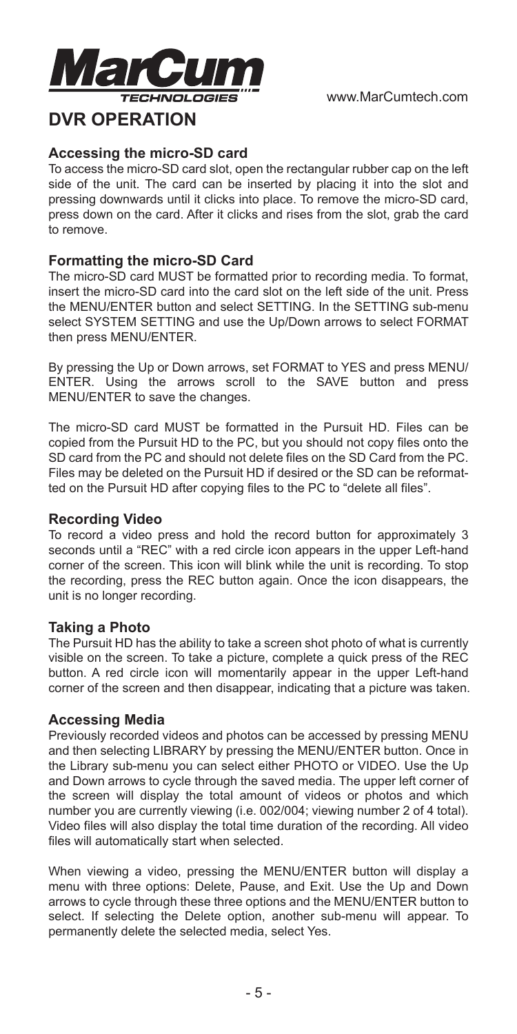

## **DVR OPERATION**

#### **Accessing the micro-SD card**

To access the micro-SD card slot, open the rectangular rubber cap on the left side of the unit. The card can be inserted by placing it into the slot and pressing downwards until it clicks into place. To remove the micro-SD card, press down on the card. After it clicks and rises from the slot, grab the card to remove.

#### **Formatting the micro-SD Card**

The micro-SD card MUST be formatted prior to recording media. To format, insert the micro-SD card into the card slot on the left side of the unit. Press the MENU/ENTER button and select SETTING. In the SETTING sub-menu select SYSTEM SETTING and use the Up/Down arrows to select FORMAT then press MENU/ENTER.

By pressing the Up or Down arrows, set FORMAT to YES and press MENU/ ENTER. Using the arrows scroll to the SAVE button and press MENU/ENTER to save the changes.

The micro-SD card MUST be formatted in the Pursuit HD. Files can be copied from the Pursuit HD to the PC, but you should not copy files onto the SD card from the PC and should not delete files on the SD Card from the PC. Files may be deleted on the Pursuit HD if desired or the SD can be reformatted on the Pursuit HD after copying files to the PC to "delete all files".

#### **Recording Video**

To record a video press and hold the record button for approximately 3 seconds until a "REC" with a red circle icon appears in the upper Left-hand corner of the screen. This icon will blink while the unit is recording. To stop the recording, press the REC button again. Once the icon disappears, the unit is no longer recording.

#### **Taking a Photo**

The Pursuit HD has the ability to take a screen shot photo of what is currently visible on the screen. To take a picture, complete a quick press of the REC button. A red circle icon will momentarily appear in the upper Left-hand corner of the screen and then disappear, indicating that a picture was taken.

#### **Accessing Media**

Previously recorded videos and photos can be accessed by pressing MENU and then selecting LIBRARY by pressing the MENU/ENTER button. Once in the Library sub-menu you can select either PHOTO or VIDEO. Use the Up and Down arrows to cycle through the saved media. The upper left corner of the screen will display the total amount of videos or photos and which number you are currently viewing (i.e. 002/004; viewing number 2 of 4 total). Video files will also display the total time duration of the recording. All video files will automatically start when selected.

When viewing a video, pressing the MENU/ENTER button will display a menu with three options: Delete, Pause, and Exit. Use the Up and Down arrows to cycle through these three options and the MENU/ENTER button to select. If selecting the Delete option, another sub-menu will appear. To permanently delete the selected media, select Yes.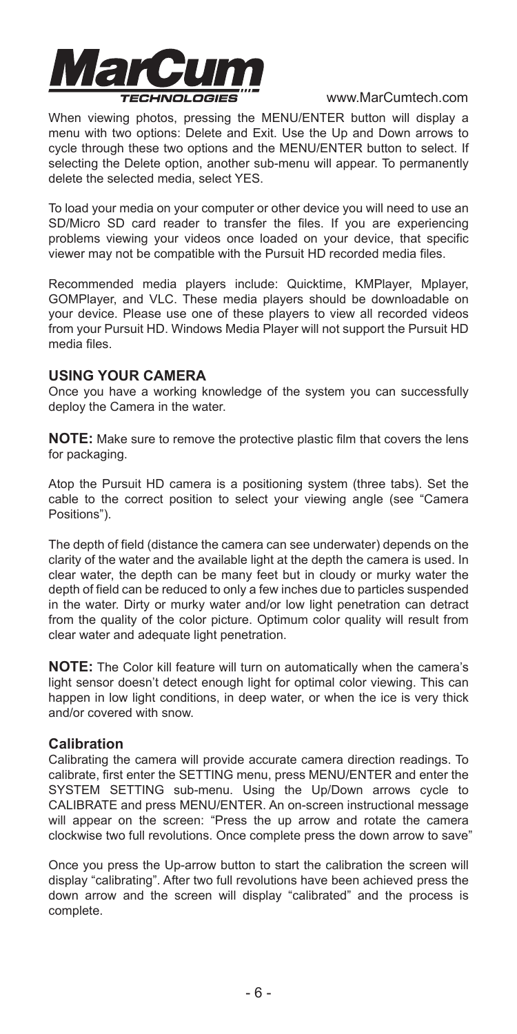

When viewing photos, pressing the MENU/ENTER button will display a menu with two options: Delete and Exit. Use the Up and Down arrows to cycle through these two options and the MENU/ENTER button to select. If selecting the Delete option, another sub-menu will appear. To permanently delete the selected media, select YES.

To load your media on your computer or other device you will need to use an SD/Micro SD card reader to transfer the files. If you are experiencing problems viewing your videos once loaded on your device, that specific viewer may not be compatible with the Pursuit HD recorded media files.

Recommended media players include: Quicktime, KMPlayer, Mplayer, GOMPlayer, and VLC. These media players should be downloadable on your device. Please use one of these players to view all recorded videos from your Pursuit HD. Windows Media Player will not support the Pursuit HD media files.

#### **USING YOUR CAMERA**

Once you have a working knowledge of the system you can successfully deploy the Camera in the water.

**NOTE:** Make sure to remove the protective plastic film that covers the lens for packaging.

Atop the Pursuit HD camera is a positioning system (three tabs). Set the cable to the correct position to select your viewing angle (see "Camera Positions").

The depth of field (distance the camera can see underwater) depends on the clarity of the water and the available light at the depth the camera is used. In clear water, the depth can be many feet but in cloudy or murky water the depth of field can be reduced to only a few inches due to particles suspended in the water. Dirty or murky water and/or low light penetration can detract from the quality of the color picture. Optimum color quality will result from clear water and adequate light penetration.

**NOTE:** The Color kill feature will turn on automatically when the camera's light sensor doesn't detect enough light for optimal color viewing. This can happen in low light conditions, in deep water, or when the ice is very thick and/or covered with snow.

#### **Calibration**

Calibrating the camera will provide accurate camera direction readings. To calibrate, first enter the SETTING menu, press MENU/ENTER and enter the SYSTEM SETTING sub-menu. Using the Up/Down arrows cycle to CALIBRATE and press MENU/ENTER. An on-screen instructional message will appear on the screen: "Press the up arrow and rotate the camera clockwise two full revolutions. Once complete press the down arrow to save"

Once you press the Up-arrow button to start the calibration the screen will display "calibrating". After two full revolutions have been achieved press the down arrow and the screen will display "calibrated" and the process is complete.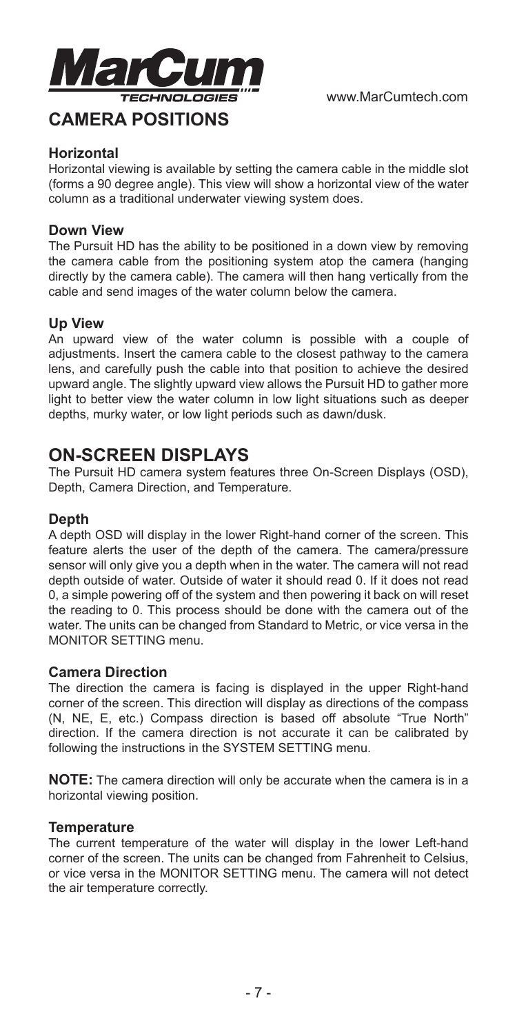

#### **Horizontal**

Horizontal viewing is available by setting the camera cable in the middle slot (forms a 90 degree angle). This view will show a horizontal view of the water column as a traditional underwater viewing system does.

#### **Down View**

The Pursuit HD has the ability to be positioned in a down view by removing the camera cable from the positioning system atop the camera (hanging directly by the camera cable). The camera will then hang vertically from the cable and send images of the water column below the camera.

#### **Up View**

An upward view of the water column is possible with a couple of adjustments. Insert the camera cable to the closest pathway to the camera lens, and carefully push the cable into that position to achieve the desired upward angle. The slightly upward view allows the Pursuit HD to gather more light to better view the water column in low light situations such as deeper depths, murky water, or low light periods such as dawn/dusk.

# **ON-SCREEN DISPLAYS**

The Pursuit HD camera system features three On-Screen Displays (OSD), Depth, Camera Direction, and Temperature.

#### **Depth**

A depth OSD will display in the lower Right-hand corner of the screen. This feature alerts the user of the depth of the camera. The camera/pressure sensor will only give you a depth when in the water. The camera will not read depth outside of water. Outside of water it should read 0. If it does not read 0, a simple powering off of the system and then powering it back on will reset the reading to 0. This process should be done with the camera out of the water. The units can be changed from Standard to Metric, or vice versa in the MONITOR SETTING menu.

#### **Camera Direction**

The direction the camera is facing is displayed in the upper Right-hand corner of the screen. This direction will display as directions of the compass (N, NE, E, etc.) Compass direction is based off absolute "True North" direction. If the camera direction is not accurate it can be calibrated by following the instructions in the SYSTEM SETTING menu.

**NOTE:** The camera direction will only be accurate when the camera is in a horizontal viewing position.

#### **Temperature**

The current temperature of the water will display in the lower Left-hand corner of the screen. The units can be changed from Fahrenheit to Celsius, or vice versa in the MONITOR SETTING menu. The camera will not detect the air temperature correctly.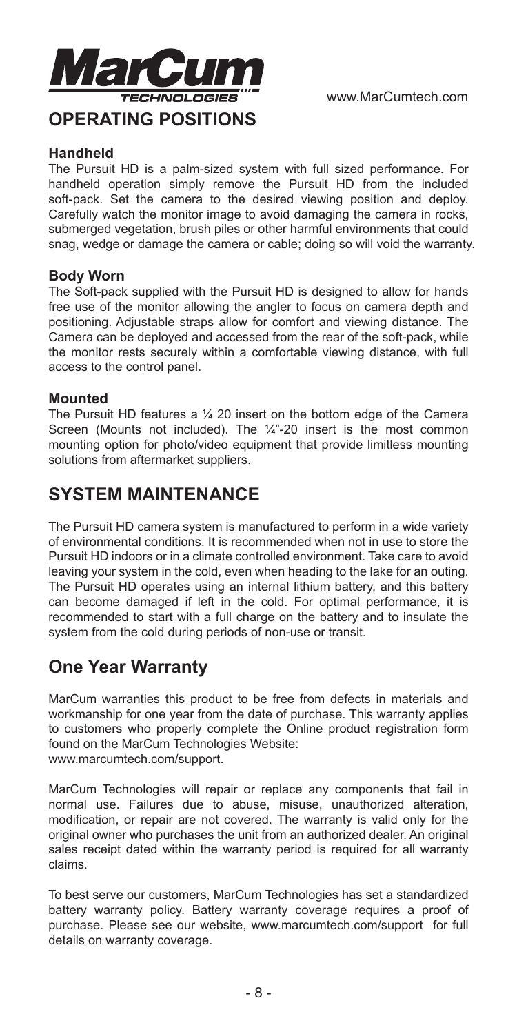

#### **Handheld**

The Pursuit HD is a palm-sized system with full sized performance. For handheld operation simply remove the Pursuit HD from the included soft-pack. Set the camera to the desired viewing position and deploy. Carefully watch the monitor image to avoid damaging the camera in rocks, submerged vegetation, brush piles or other harmful environments that could snag, wedge or damage the camera or cable; doing so will void the warranty.

#### **Body Worn**

The Soft-pack supplied with the Pursuit HD is designed to allow for hands free use of the monitor allowing the angler to focus on camera depth and positioning. Adjustable straps allow for comfort and viewing distance. The Camera can be deployed and accessed from the rear of the soft-pack, while the monitor rests securely within a comfortable viewing distance, with full access to the control panel.

#### **Mounted**

The Pursuit HD features a ¼ 20 insert on the bottom edge of the Camera Screen (Mounts not included). The 1/4"-20 insert is the most common mounting option for photo/video equipment that provide limitless mounting solutions from aftermarket suppliers.

# **SYSTEM MAINTENANCE**

The Pursuit HD camera system is manufactured to perform in a wide variety of environmental conditions. It is recommended when not in use to store the Pursuit HD indoors or in a climate controlled environment. Take care to avoid leaving your system in the cold, even when heading to the lake for an outing. The Pursuit HD operates using an internal lithium battery, and this battery can become damaged if left in the cold. For optimal performance, it is recommended to start with a full charge on the battery and to insulate the system from the cold during periods of non-use or transit.

# **One Year Warranty**

MarCum warranties this product to be free from defects in materials and workmanship for one year from the date of purchase. This warranty applies to customers who properly complete the Online product registration form found on the MarCum Technologies Website: www.marcumtech.com/support.

MarCum Technologies will repair or replace any components that fail in normal use. Failures due to abuse, misuse, unauthorized alteration, modification, or repair are not covered. The warranty is valid only for the original owner who purchases the unit from an authorized dealer. An original sales receipt dated within the warranty period is required for all warranty claims.

To best serve our customers, MarCum Technologies has set a standardized battery warranty policy. Battery warranty coverage requires a proof of purchase. Please see our website, www.marcumtech.com/support for full details on warranty coverage.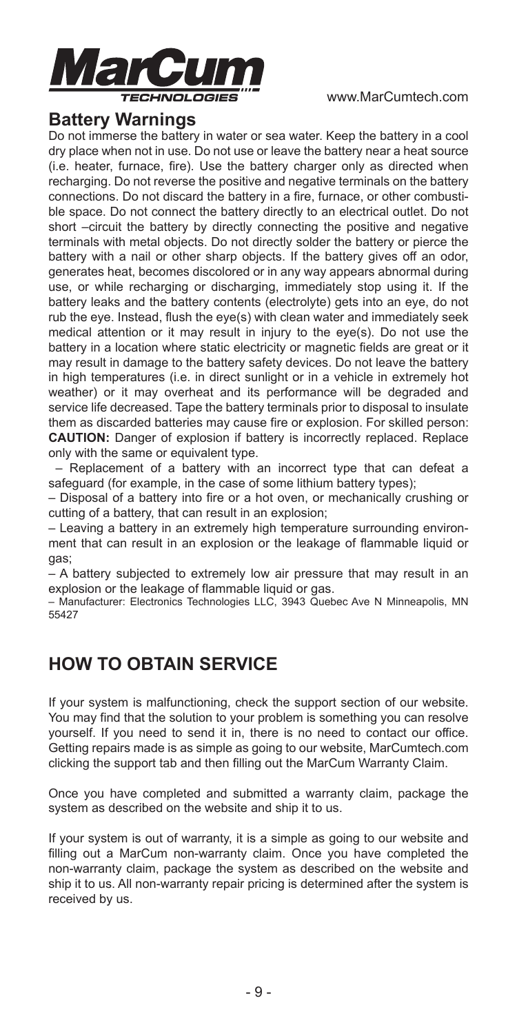

## **Battery Warnings**

Do not immerse the battery in water or sea water. Keep the battery in a cool dry place when not in use. Do not use or leave the battery near a heat source (i.e. heater, furnace, fire). Use the battery charger only as directed when recharging. Do not reverse the positive and negative terminals on the battery connections. Do not discard the battery in a fire, furnace, or other combustible space. Do not connect the battery directly to an electrical outlet. Do not short –circuit the battery by directly connecting the positive and negative terminals with metal objects. Do not directly solder the battery or pierce the battery with a nail or other sharp objects. If the battery gives off an odor, generates heat, becomes discolored or in any way appears abnormal during use, or while recharging or discharging, immediately stop using it. If the battery leaks and the battery contents (electrolyte) gets into an eye, do not rub the eye. Instead, flush the eye(s) with clean water and immediately seek medical attention or it may result in injury to the eye(s). Do not use the battery in a location where static electricity or magnetic fields are great or it may result in damage to the battery safety devices. Do not leave the battery in high temperatures (i.e. in direct sunlight or in a vehicle in extremely hot weather) or it may overheat and its performance will be degraded and service life decreased. Tape the battery terminals prior to disposal to insulate them as discarded batteries may cause fire or explosion. For skilled person: **CAUTION:** Danger of explosion if battery is incorrectly replaced. Replace only with the same or equivalent type.

 – Replacement of a battery with an incorrect type that can defeat a safeguard (for example, in the case of some lithium battery types);

– Disposal of a battery into fire or a hot oven, or mechanically crushing or cutting of a battery, that can result in an explosion;

– Leaving a battery in an extremely high temperature surrounding environment that can result in an explosion or the leakage of flammable liquid or gas;

– A battery subjected to extremely low air pressure that may result in an explosion or the leakage of flammable liquid or gas.

– Manufacturer: Electronics Technologies LLC, 3943 Quebec Ave N Minneapolis, MN 55427

# **HOW TO OBTAIN SERVICE**

If your system is malfunctioning, check the support section of our website. You may find that the solution to your problem is something you can resolve yourself. If you need to send it in, there is no need to contact our office. Getting repairs made is as simple as going to our website, MarCumtech.com clicking the support tab and then filling out the MarCum Warranty Claim.

Once you have completed and submitted a warranty claim, package the system as described on the website and ship it to us.

If your system is out of warranty, it is a simple as going to our website and filling out a MarCum non-warranty claim. Once you have completed the non-warranty claim, package the system as described on the website and ship it to us. All non-warranty repair pricing is determined after the system is received by us.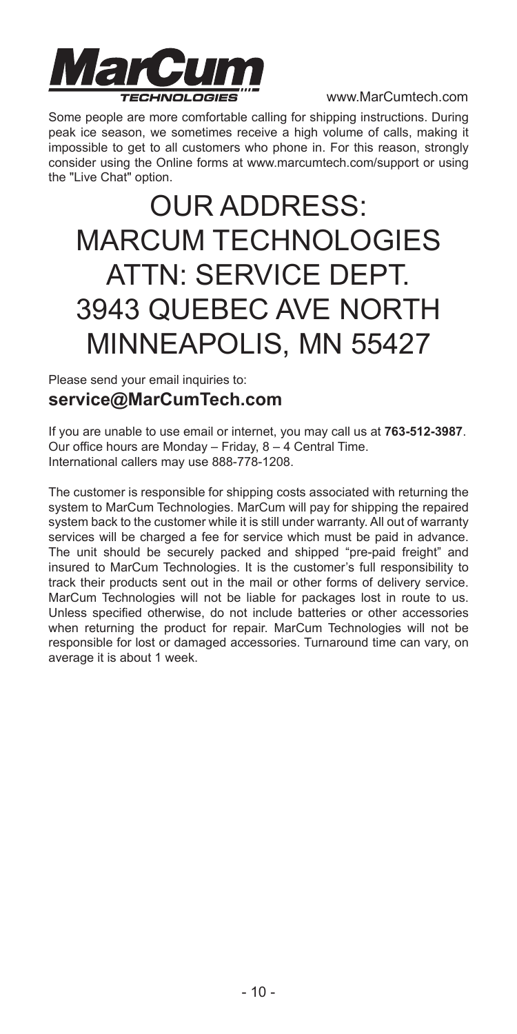

Some people are more comfortable calling for shipping instructions. During peak ice season, we sometimes receive a high volume of calls, making it impossible to get to all customers who phone in. For this reason, strongly consider using the Online forms at www.marcumtech.com/support or using the "Live Chat" option.

# OUR ADDRESS: MARCUM TECHNOLOGIES ATTN: SERVICE DEPT. 3943 QUEBEC AVE NORTH MINNEAPOLIS, MN 55427

Please send your email inquiries to:

### **service@MarCumTech.com**

If you are unable to use email or internet, you may call us at **763-512-3987**. Our office hours are Monday – Friday, 8 – 4 Central Time. International callers may use 888-778-1208.

The customer is responsible for shipping costs associated with returning the system to MarCum Technologies. MarCum will pay for shipping the repaired system back to the customer while it is still under warranty. All out of warranty services will be charged a fee for service which must be paid in advance. The unit should be securely packed and shipped "pre-paid freight" and insured to MarCum Technologies. It is the customer's full responsibility to track their products sent out in the mail or other forms of delivery service. MarCum Technologies will not be liable for packages lost in route to us. Unless specified otherwise, do not include batteries or other accessories when returning the product for repair. MarCum Technologies will not be responsible for lost or damaged accessories. Turnaround time can vary, on average it is about 1 week.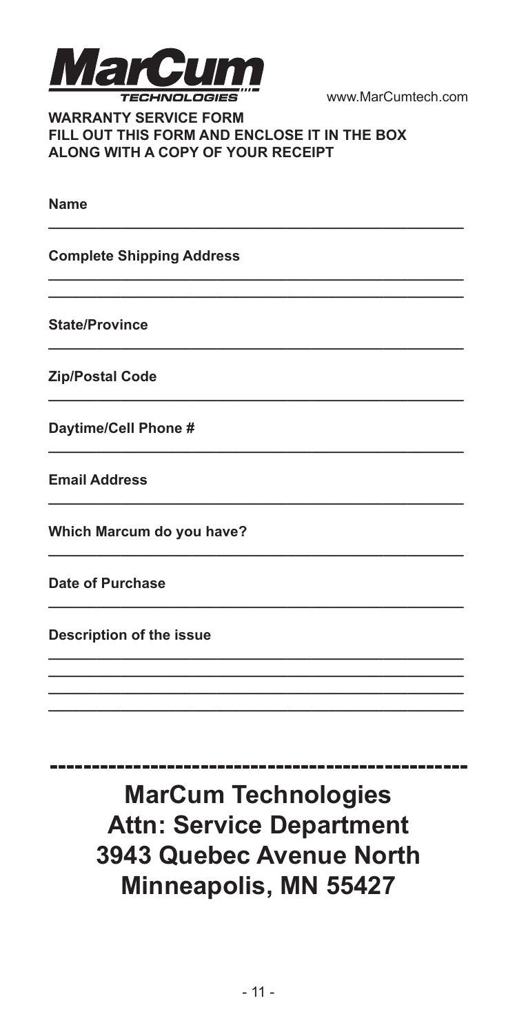

#### **WARRANTY SERVICE FORM** FILL OUT THIS FORM AND ENCLOSE IT IN THE BOX ALONG WITH A COPY OF YOUR RECEIPT

**Name** 

**Complete Shipping Address** 

State/Province

**Zip/Postal Code** 

Daytime/Cell Phone #

**Email Address** 

Which Marcum do you have?

Date of Purchase

Description of the issue

**MarCum Technologies Attn: Service Department** 3943 Quebec Avenue North Minneapolis, MN 55427